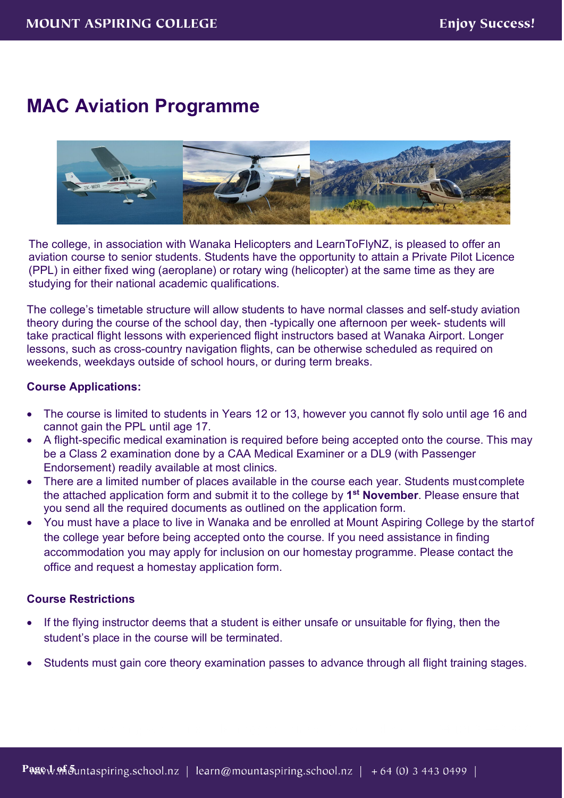# **MAC Aviation Programme**



The college, in association with Wanaka Helicopters and LearnToFlyNZ, is pleased to offer an aviation course to senior students. Students have the opportunity to attain a Private Pilot Licence (PPL) in either fixed wing (aeroplane) or rotary wing (helicopter) at the same time as they are studying for their national academic qualifications.

The college's timetable structure will allow students to have normal classes and self-study aviation theory during the course of the school day, then -typically one afternoon per week- students will take practical flight lessons with experienced flight instructors based at Wanaka Airport. Longer lessons, such as cross-country navigation flights, can be otherwise scheduled as required on weekends, weekdays outside of school hours, or during term breaks.

# **Course Applications:**

- The course is limited to students in Years 12 or 13, however you cannot fly solo until age 16 and cannot gain the PPL until age 17.
- A flight-specific medical examination is required before being accepted onto the course. This may be a Class 2 examination done by a CAA Medical Examiner or a DL9 (with Passenger Endorsement) readily available at most clinics.
- There are a limited number of places available in the course each year. Students mustcomplete the attached application form and submit it to the college by **1st November**. Please ensure that you send all the required documents as outlined on the application form.
- You must have a place to live in Wanaka and be enrolled at Mount Aspiring College by the startof the college year before being accepted onto the course. If you need assistance in finding accommodation you may apply for inclusion on our homestay programme. Please contact the office and request a homestay application form.

# **Course Restrictions**

- If the flying instructor deems that a student is either unsafe or unsuitable for flying, then the student's place in the course will be terminated.
- Students must gain core theory examination passes to advance through all flight training stages.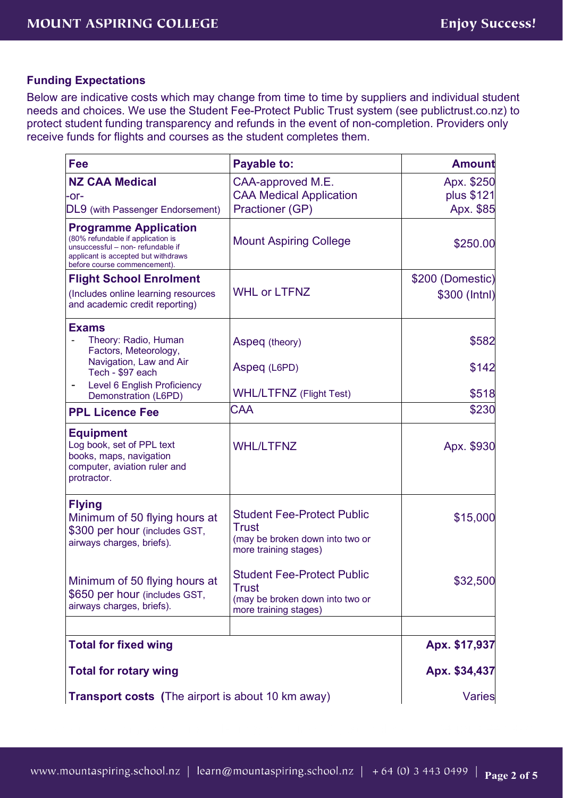# **Funding Expectations**

Below are indicative costs which may change from time to time by suppliers and individual student needs and choices. We use the Student Fee-Protect Public Trust system (see publictrust.co.nz) to protect student funding transparency and refunds in the event of non-completion. Providers only receive funds for flights and courses as the student completes them.

| <b>Fee</b>                                                                                                                                                                   | Payable to:                                                                                            | <b>Amount</b>            |
|------------------------------------------------------------------------------------------------------------------------------------------------------------------------------|--------------------------------------------------------------------------------------------------------|--------------------------|
| <b>NZ CAA Medical</b><br>-or-                                                                                                                                                | CAA-approved M.E.<br><b>CAA Medical Application</b>                                                    | Apx. \$250<br>plus \$121 |
| DL9 (with Passenger Endorsement)                                                                                                                                             | Practioner (GP)                                                                                        | Apx. \$85                |
| <b>Programme Application</b><br>(80% refundable if application is<br>unsuccessful - non-refundable if<br>applicant is accepted but withdraws<br>before course commencement). | <b>Mount Aspiring College</b>                                                                          | \$250.00                 |
| <b>Flight School Enrolment</b>                                                                                                                                               |                                                                                                        | \$200 (Domestic)         |
| (Includes online learning resources<br>and academic credit reporting)                                                                                                        | <b>WHL or LTFNZ</b>                                                                                    | \$300 (Intnl)            |
| <b>Exams</b><br>Theory: Radio, Human<br>Factors, Meteorology,<br>Navigation, Law and Air                                                                                     | Aspeq (theory)<br>Aspeq (L6PD)                                                                         | \$582<br>\$142           |
| Tech - \$97 each<br>Level 6 English Proficiency                                                                                                                              |                                                                                                        |                          |
| Demonstration (L6PD)                                                                                                                                                         | <b>WHL/LTFNZ</b> (Flight Test)                                                                         | \$518                    |
| <b>PPL Licence Fee</b>                                                                                                                                                       | <b>CAA</b>                                                                                             | \$230                    |
| <b>Equipment</b><br>Log book, set of PPL text<br>books, maps, navigation<br>computer, aviation ruler and<br>protractor.                                                      | <b>WHL/LTFNZ</b>                                                                                       | Apx. \$930               |
| <b>Flying</b><br>Minimum of 50 flying hours at<br>\$300 per hour (includes GST,<br>airways charges, briefs).                                                                 | <b>Student Fee-Protect Public</b><br>Trust<br>(may be broken down into two or<br>more training stages) | \$15,000                 |
| Minimum of 50 flying hours at<br>\$650 per hour (includes GST,<br>airways charges, briefs).                                                                                  | <b>Student Fee-Protect Public</b><br>Trust<br>(may be broken down into two or<br>more training stages) | \$32,500                 |
|                                                                                                                                                                              |                                                                                                        |                          |
| <b>Total for fixed wing</b>                                                                                                                                                  |                                                                                                        | Apx. \$17,937            |
| <b>Total for rotary wing</b>                                                                                                                                                 |                                                                                                        | Apx. \$34,437            |
| <b>Transport costs</b> (The airport is about 10 km away)                                                                                                                     |                                                                                                        | <b>Varies</b>            |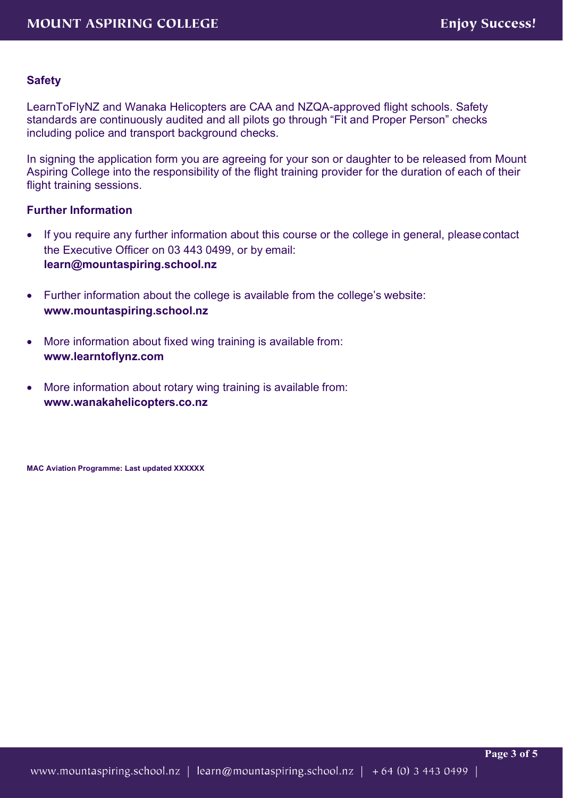# **Safety**

LearnToFlyNZ and Wanaka Helicopters are CAA and NZQA-approved flight schools. Safety standards are continuously audited and all pilots go through "Fit and Proper Person" checks including police and transport background checks.

In signing the application form you are agreeing for your son or daughter to be released from Mount Aspiring College into the responsibility of the flight training provider for the duration of each of their flight training sessions.

# **Further Information**

- If you require any further information about this course or the college in general, please contact the Executive Officer on 03 443 0499, or by email: **[learn@mountaspiring.school.nz](mailto:learn@mountaspiring.school.nz)**
- Further information about the college is available from the college's website: **[www.mountaspiring.school.nz](http://www.mountaspiring.school.nz/)**
- More information about fixed wing training is available from: **[www.learntoflynz.com](http://www.learntoflynz.com/)**
- More information about rotary wing training is available from: **[www.wanakahelicopters.co.nz](http://www.wanakahelicopters.co.nz/)**

**MAC Aviation Programme: Last updated XXXXXX**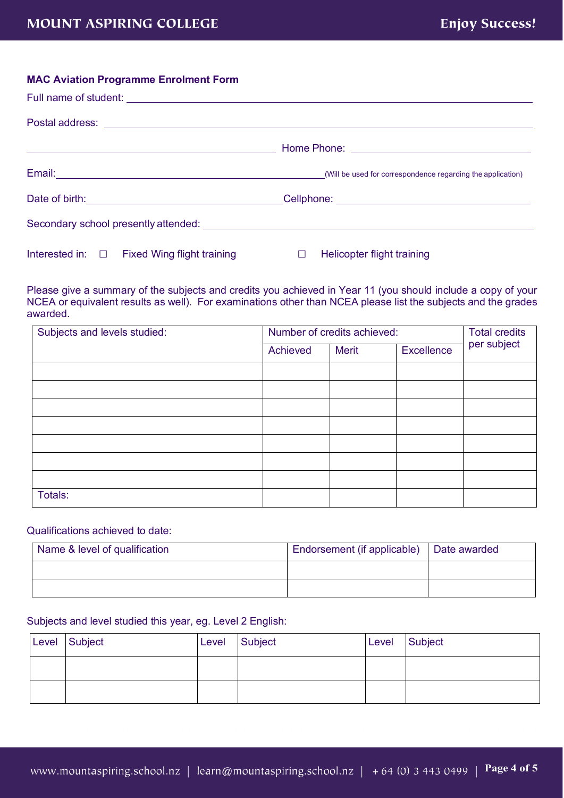#### **MAC Aviation Programme Enrolment Form**

| Interested in: □ Fixed Wing flight training | $\Box$ Helicopter flight training |
|---------------------------------------------|-----------------------------------|

Please give a summary of the subjects and credits you achieved in Year 11 (you should include a copy of your NCEA or equivalent results as well). For examinations other than NCEA please list the subjects and the grades awarded.

| Subjects and levels studied: | Number of credits achieved: |              |            | <b>Total credits</b> |
|------------------------------|-----------------------------|--------------|------------|----------------------|
|                              | Achieved                    | <b>Merit</b> | Excellence | per subject          |
|                              |                             |              |            |                      |
|                              |                             |              |            |                      |
|                              |                             |              |            |                      |
|                              |                             |              |            |                      |
|                              |                             |              |            |                      |
|                              |                             |              |            |                      |
|                              |                             |              |            |                      |
| Totals:                      |                             |              |            |                      |

### Qualifications achieved to date:

| Name & level of qualification | Endorsement (if applicable)   Date awarded |  |
|-------------------------------|--------------------------------------------|--|
|                               |                                            |  |
|                               |                                            |  |

# Subjects and level studied this year, eg. Level 2 English:

| Level Subject | Level | Subject | Level | Subject |
|---------------|-------|---------|-------|---------|
|               |       |         |       |         |
|               |       |         |       |         |